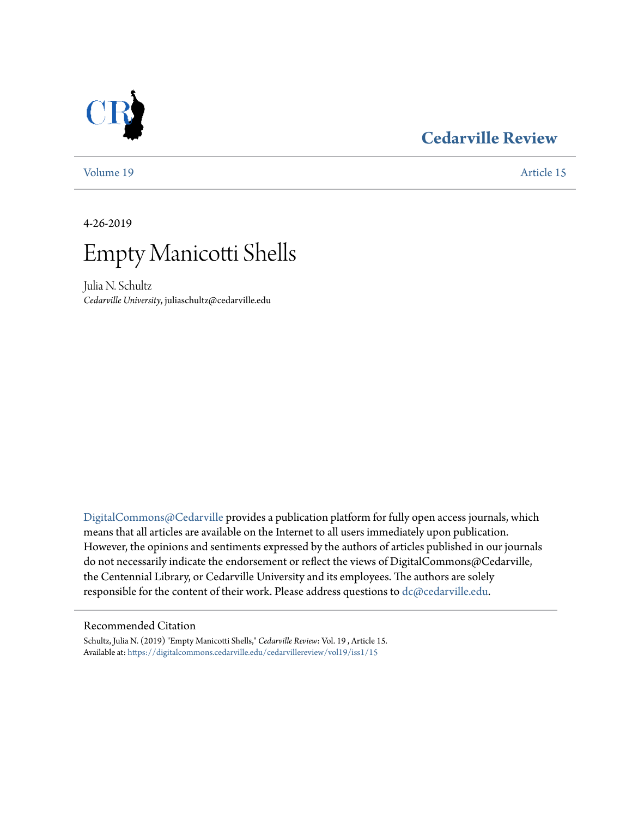## **[Cedarville Review](https://digitalcommons.cedarville.edu/cedarvillereview?utm_source=digitalcommons.cedarville.edu%2Fcedarvillereview%2Fvol19%2Fiss1%2F15&utm_medium=PDF&utm_campaign=PDFCoverPages)**



[Volume 19](https://digitalcommons.cedarville.edu/cedarvillereview/vol19?utm_source=digitalcommons.cedarville.edu%2Fcedarvillereview%2Fvol19%2Fiss1%2F15&utm_medium=PDF&utm_campaign=PDFCoverPages) [Article 15](https://digitalcommons.cedarville.edu/cedarvillereview/vol19/iss1/15?utm_source=digitalcommons.cedarville.edu%2Fcedarvillereview%2Fvol19%2Fiss1%2F15&utm_medium=PDF&utm_campaign=PDFCoverPages)

4-26-2019



Julia N. Schultz *Cedarville University*, juliaschultz@cedarville.edu

[DigitalCommons@Cedarville](http://digitalcommons.cedarville.edu/) provides a publication platform for fully open access journals, which means that all articles are available on the Internet to all users immediately upon publication. However, the opinions and sentiments expressed by the authors of articles published in our journals do not necessarily indicate the endorsement or reflect the views of DigitalCommons@Cedarville, the Centennial Library, or Cedarville University and its employees. The authors are solely responsible for the content of their work. Please address questions to [dc@cedarville.edu](mailto:dc@cedarville.edu).

## Recommended Citation

Schultz, Julia N. (2019) "Empty Manicotti Shells," *Cedarville Review*: Vol. 19 , Article 15. Available at: [https://digitalcommons.cedarville.edu/cedarvillereview/vol19/iss1/15](https://digitalcommons.cedarville.edu/cedarvillereview/vol19/iss1/15?utm_source=digitalcommons.cedarville.edu%2Fcedarvillereview%2Fvol19%2Fiss1%2F15&utm_medium=PDF&utm_campaign=PDFCoverPages)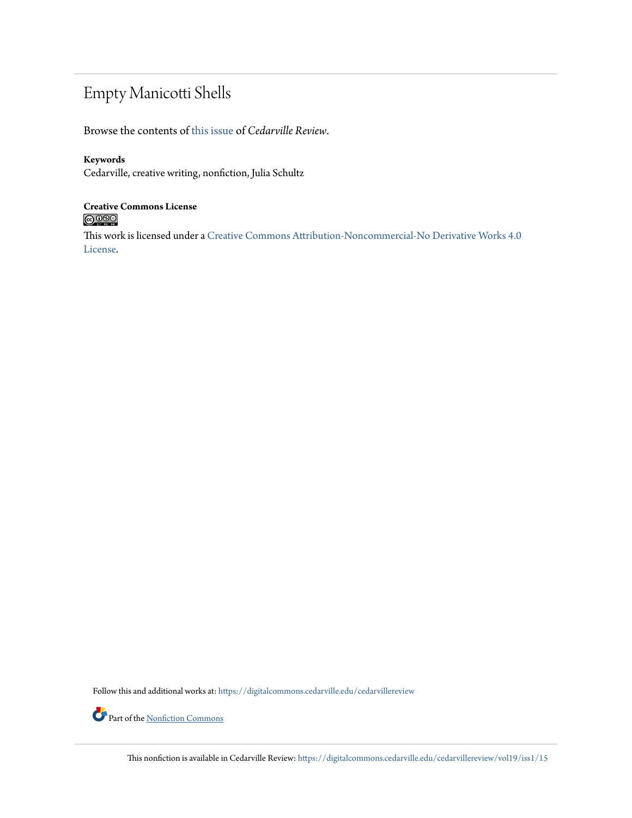## Empty Manicotti Shells

Browse the contents of [this issue](https://digitalcommons.cedarville.edu/cedarvillereview/vol19/iss1) of *Cedarville Review*.

## **Keywords**

Cedarville, creative writing, nonfiction, Julia Schultz

# **Creative Commons License**<br> **C** 000

This work is licensed under a [Creative Commons Attribution-Noncommercial-No Derivative Works 4.0](http://creativecommons.org/licenses/by-nc-nd/4.0/) [License.](http://creativecommons.org/licenses/by-nc-nd/4.0/)

Follow this and additional works at: [https://digitalcommons.cedarville.edu/cedarvillereview](https://digitalcommons.cedarville.edu/cedarvillereview?utm_source=digitalcommons.cedarville.edu%2Fcedarvillereview%2Fvol19%2Fiss1%2F15&utm_medium=PDF&utm_campaign=PDFCoverPages)

Part of the <u>[Nonfiction Commons](http://network.bepress.com/hgg/discipline/1152?utm_source=digitalcommons.cedarville.edu%2Fcedarvillereview%2Fvol19%2Fiss1%2F15&utm_medium=PDF&utm_campaign=PDFCoverPages)</u>

This nonfiction is available in Cedarville Review: [https://digitalcommons.cedarville.edu/cedarvillereview/vol19/iss1/15](https://digitalcommons.cedarville.edu/cedarvillereview/vol19/iss1/15?utm_source=digitalcommons.cedarville.edu%2Fcedarvillereview%2Fvol19%2Fiss1%2F15&utm_medium=PDF&utm_campaign=PDFCoverPages)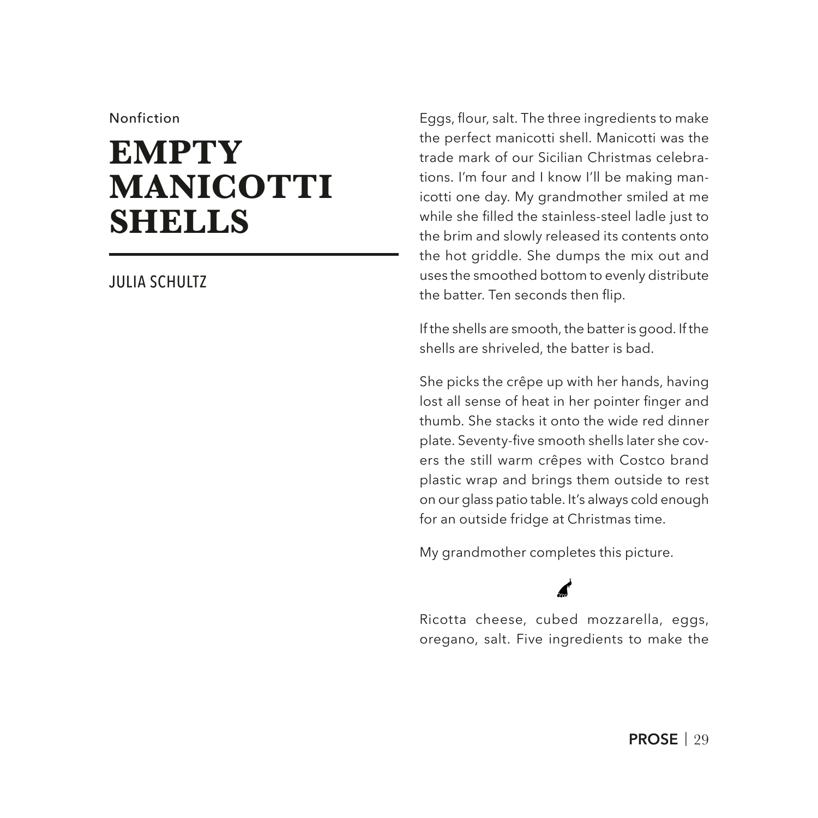### Nonfiction

# **EMPTY MANICOTTI SHELLS**

## JULIA SCHULTZ

Eggs, flour, salt. The three ingredients to make the perfect manicotti shell. Manicotti was the trade mark of our Sicilian Christmas celebrations. I'm four and I know I'll be making manicotti one day. My grandmother smiled at me while she filled the stainless-steel ladle just to the brim and slowly released its contents onto the hot griddle. She dumps the mix out and uses the smoothed bottom to evenly distribute the batter. Ten seconds then fip.

If the shells are smooth, the batter is good. If the shells are shriveled, the batter is bad.

She picks the crêpe up with her hands, having lost all sense of heat in her pointer finger and thumb. She stacks it onto the wide red dinner plate. Seventy-five smooth shells later she covers the still warm crêpes with Costco brand plastic wrap and brings them outside to rest on our glass patio table. It's always cold enough for an outside fridge at Christmas time.

My grandmother completes this picture.

Ricotta cheese, cubed mozzarella, eggs, oregano, salt. Five ingredients to make the